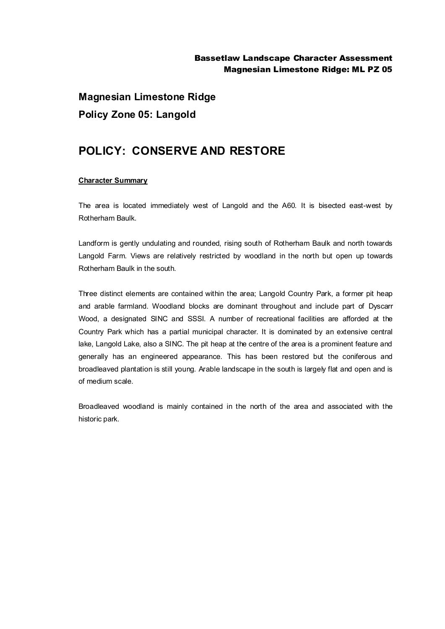**Magnesian Limestone Ridge Policy Zone 05: Langold**

## **POLICY: CONSERVE AND RESTORE**

## **Character Summary**

The area is located immediately west of Langold and the A60. It is bisected east-west by Rotherham Baulk.

Landform is gently undulating and rounded, rising south of Rotherham Baulk and north towards Langold Farm. Views are relatively restricted by woodland in the north but open up towards Rotherham Baulk in the south.

Three distinct elements are contained within the area; Langold Country Park, a former pit heap and arable farmland. Woodland blocks are dominant throughout and include part of Dyscarr Wood, a designated SINC and SSSI. A number of recreational facilities are afforded at the Country Park which has a partial municipal character. It is dominated by an extensive central lake, Langold Lake, also a SINC. The pit heap at the centre of the area is a prominent feature and generally has an engineered appearance. This has been restored but the coniferous and broadleaved plantation is still young. Arable landscape in the south is largely flat and open and is of medium scale.

Broadleaved woodland is mainly contained in the north of the area and associated with the historic park.